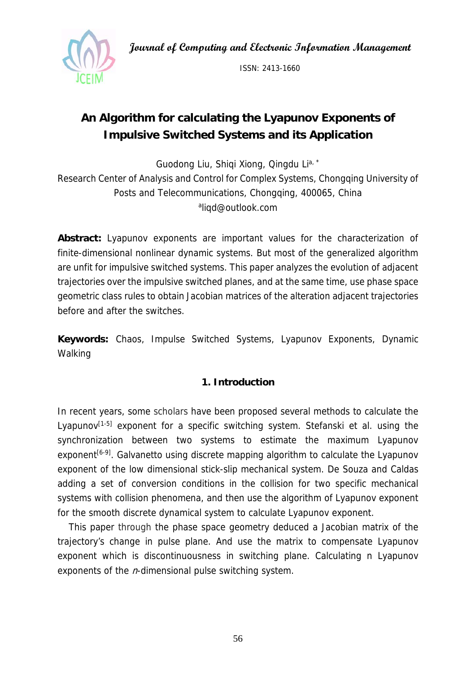**Journal of Computing and Electronic Information Management** 



ISSN: 2413-1660

# **An Algorithm for calculating the Lyapunov Exponents of Impulsive Switched Systems and its Application**

Guodong Liu, Shigi Xiong, Qingdu Li<sup>a, \*</sup>

Research Center of Analysis and Control for Complex Systems, Chongqing University of Posts and Telecommunications, Chongqing, 400065, China aliqd@outlook.com

**Abstract:** Lyapunov exponents are important values for the characterization of finite-dimensional nonlinear dynamic systems. But most of the generalized algorithm are unfit for impulsive switched systems. This paper analyzes the evolution of adjacent trajectories over the impulsive switched planes, and at the same time, use phase space geometric class rules to obtain Jacobian matrices of the alteration adjacent trajectories before and after the switches.

**Keywords:** Chaos, Impulse Switched Systems, Lyapunov Exponents, Dynamic Walking

## **1. Introduction**

In recent years, some scholars have been proposed several methods to calculate the Lyapunov $[1-5]$  exponent for a specific switching system. Stefanski et al. using the synchronization between two systems to estimate the maximum Lyapunov exponent<sup>[6-9]</sup>. Galvanetto using discrete mapping algorithm to calculate the Lyapunov exponent of the low dimensional stick-slip mechanical system. De Souza and Caldas adding a set of conversion conditions in the collision for two specific mechanical systems with collision phenomena, and then use the algorithm of Lyapunov exponent for the smooth discrete dynamical system to calculate Lyapunov exponent.

This paper through the phase space geometry deduced a Jacobian matrix of the trajectory's change in pulse plane. And use the matrix to compensate Lyapunov exponent which is discontinuousness in switching plane. Calculating n Lyapunov exponents of the  $n$ -dimensional pulse switching system.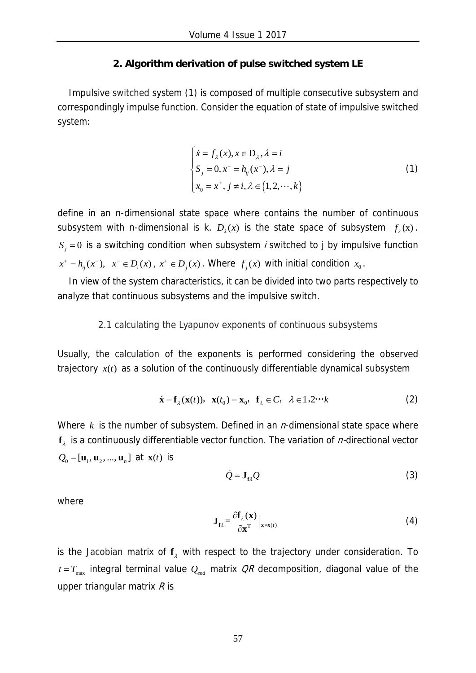## **2. Algorithm derivation of pulse switched system LE**

Impulsive switched system (1) is composed of multiple consecutive subsystem and correspondingly impulse function. Consider the equation of state of impulsive switched system:

$$
\begin{cases}\n\dot{x} = f_{\lambda}(x), x \in \mathbf{D}_{\lambda}, \lambda = i \\
S_j = 0, x^+ = h_{ij}(x^-), \lambda = j \\
x_0 = x^+, j \neq i, \lambda \in \{1, 2, \cdots, k\}\n\end{cases}
$$
\n(1)

define in an n-dimensional state space where contains the number of continuous subsystem with n-dimensional is k.  $D_2(x)$  is the state space of subsystem  $f_2(x)$ .  $S_i = 0$  is a switching condition when subsystem *i* switched to j by impulsive function  $x^+ = h_{ii}(x^-)$ ,  $x^- \in D_i(x)$ ,  $x^+ \in D_i(x)$ . Where  $f_i(x)$  with initial condition  $x_0$ .

In view of the system characteristics, it can be divided into two parts respectively to analyze that continuous subsystems and the impulsive switch.

### 2.1 calculating the Lyapunov exponents of continuous subsystems

Usually, the calculation of the exponents is performed considering the observed trajectory  $x(t)$  as a solution of the continuously differentiable dynamical subsystem

$$
\dot{\mathbf{x}} = \mathbf{f}_{\lambda}(\mathbf{x}(t)), \ \mathbf{x}(t_0) = \mathbf{x}_0, \ \mathbf{f}_{\lambda} \in C, \ \lambda \in 1, 2 \cdots k
$$
 (2)

Where  $k$  is the number of subsystem. Defined in an  $n$ -dimensional state space where  $f_i$  is a continuously differentiable vector function. The variation of  $n$ -directional vector  $Q_0 = [\mathbf{u}_1, \mathbf{u}_2, ..., \mathbf{u}_n]$  at  $\mathbf{x}(t)$  is

$$
\dot{Q} = \mathbf{J}_{t2} Q \tag{3}
$$

where

$$
\mathbf{J}_{\ell\lambda} = \frac{\partial \mathbf{f}_{\lambda}(\mathbf{x})}{\partial \mathbf{x}^{\mathrm{T}}} \Big|_{\mathbf{x} = \mathbf{x}(t)} \tag{4}
$$

is the Jacobian matrix of  $f_{\lambda}$  with respect to the trajectory under consideration. To  $t = T_{\text{max}}$  integral terminal value  $Q_{\text{end}}$  matrix  $QR$  decomposition, diagonal value of the upper triangular matrix  $R$  is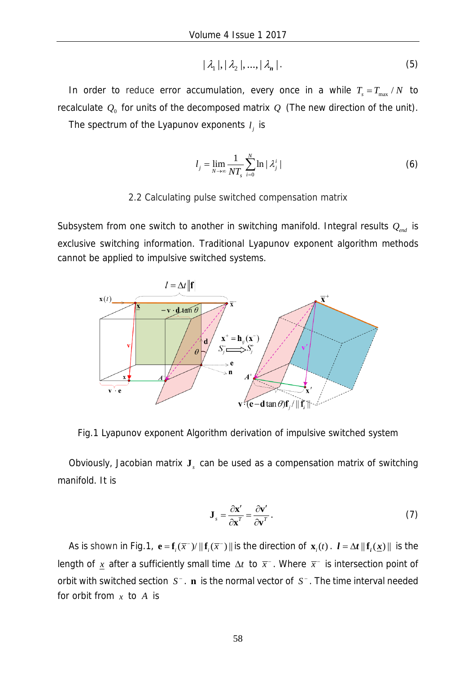$$
|\lambda_1|, |\lambda_2|, \ldots, |\lambda_n| \tag{5}
$$

In order to reduce error accumulation, every once in a while  $T_s = T_{\text{max}} / N$  to recalculate  $Q_0$  for units of the decomposed matrix  $Q$  (The new direction of the unit).

The spectrum of the Lyapunov exponents  $l_i$  is

$$
l_j = \lim_{N \to \infty} \frac{1}{NT_s} \sum_{i=0}^{N} \ln |\lambda_j^i|
$$
 (6)

#### 2.2 Calculating pulse switched compensation matrix

Subsystem from one switch to another in switching manifold. Integral results *Qend* is exclusive switching information. Traditional Lyapunov exponent algorithm methods cannot be applied to impulsive switched systems.



Fig.1 Lyapunov exponent Algorithm derivation of impulsive switched system

Obviously, Jacobian matrix **J**<sub>c</sub> can be used as a compensation matrix of switching manifold. It is

$$
\mathbf{J}_s = \frac{\partial \mathbf{x}'}{\partial \mathbf{x}^T} = \frac{\partial \mathbf{v}'}{\partial \mathbf{v}^T} \,. \tag{7}
$$

As is shown in Fig.1,  $e = f_i(\overline{x}^{-1}) / ||f_i(\overline{x}^{-1})||$  is the direction of  $\mathbf{x}_i(t)$ .  $l = \Delta t ||f_i(\underline{x})||$  is the length of x after a sufficiently small time  $\Delta t$  to  $\bar{x}$ . Where  $\bar{x}$  is intersection point of orbit with switched section  $S^-$ . **n** is the normal vector of  $S^-$ . The time interval needed for orbit from *x* to *A* is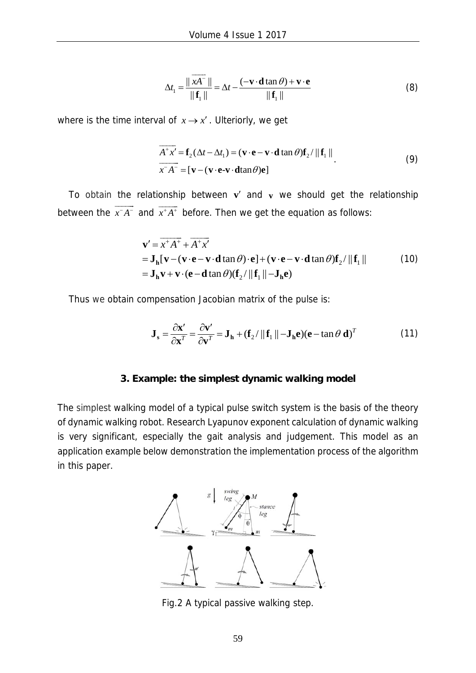$$
\Delta t_1 = \frac{\|\overrightarrow{xA}^-\|}{\|\mathbf{f}_1\|} = \Delta t - \frac{(-\mathbf{v} \cdot \mathbf{d} \tan \theta) + \mathbf{v} \cdot \mathbf{e}}{\|\mathbf{f}_1\|}
$$
(8)

where is the time interval of  $x \rightarrow x'$ . Ulteriorly, we get

$$
\overrightarrow{A^{+}x'} = \mathbf{f}_{2}(\Delta t - \Delta t_{1}) = (\mathbf{v} \cdot \mathbf{e} - \mathbf{v} \cdot \mathbf{d} \tan \theta) \mathbf{f}_{2} / ||\mathbf{f}_{1}||
$$
\n
$$
\overrightarrow{x A^{+}} = [\mathbf{v} - (\mathbf{v} \cdot \mathbf{e} - \mathbf{v} \cdot \mathbf{d} \tan \theta) \mathbf{e}]
$$
\n(9)

To obtain the relationship between  $\mathbf{v}'$  and  $\mathbf{v}$  we should get the relationship between the  $x^-\overline{A}^ \overrightarrow{x}$  and  $\overrightarrow{x}^+A^+$  before. Then we get the equation as follows:

$$
\mathbf{v}' = \overline{x^+ A^+} + \overline{A^+ x'}
$$
  
=  $\mathbf{J}_h [\mathbf{v} - (\mathbf{v} \cdot \mathbf{e} - \mathbf{v} \cdot \mathbf{d} \tan \theta) \cdot \mathbf{e}] + (\mathbf{v} \cdot \mathbf{e} - \mathbf{v} \cdot \mathbf{d} \tan \theta) \mathbf{f}_2 / ||\mathbf{f}_1||$  (10)  
=  $\mathbf{J}_h \mathbf{v} + \mathbf{v} \cdot (\mathbf{e} - \mathbf{d} \tan \theta) (\mathbf{f}_2 / ||\mathbf{f}_1|| - \mathbf{J}_h \mathbf{e})$ 

Thus we obtain compensation Jacobian matrix of the pulse is:

$$
\mathbf{J}_s = \frac{\partial \mathbf{x}'}{\partial \mathbf{x}'} = \frac{\partial \mathbf{v}'}{\partial \mathbf{v}'} = \mathbf{J}_h + (\mathbf{f}_2 / ||\mathbf{f}_1|| - \mathbf{J}_h \mathbf{e})(\mathbf{e} - \tan \theta \mathbf{d})^T
$$
(11)

#### **3. Example: the simplest dynamic walking model**

The simplest walking model of a typical pulse switch system is the basis of the theory of dynamic walking robot. Research Lyapunov exponent calculation of dynamic walking is very significant, especially the gait analysis and judgement. This model as an application example below demonstration the implementation process of the algorithm in this paper.



Fig.2 A typical passive walking step.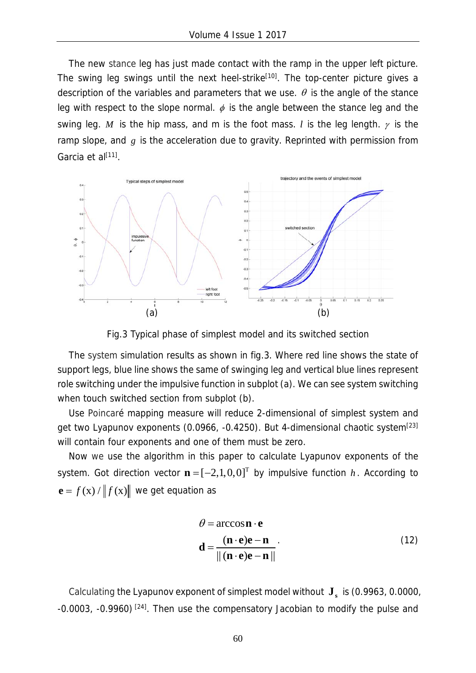The new stance leg has just made contact with the ramp in the upper left picture. The swing leg swings until the next heel-strike<sup>[10]</sup>. The top-center picture gives a description of the variables and parameters that we use.  $\theta$  is the angle of the stance leg with respect to the slope normal.  $\phi$  is the angle between the stance leg and the swing leg. *M* is the hip mass, and m is the foot mass. *l* is the leg length.  $\gamma$  is the ramp slope, and *g* is the acceleration due to gravity. Reprinted with permission from Garcia et al<sup>[11]</sup>.



Fig.3 Typical phase of simplest model and its switched section

The system simulation results as shown in fig.3. Where red line shows the state of support legs, blue line shows the same of swinging leg and vertical blue lines represent role switching under the impulsive function in subplot (a). We can see system switching when touch switched section from subplot (b).

Use Poincaré mapping measure will reduce 2-dimensional of simplest system and get two Lyapunov exponents (0.0966,  $-0.4250$ ). But 4-dimensional chaotic system<sup>[23]</sup> will contain four exponents and one of them must be zero.

Now we use the algorithm in this paper to calculate Lyapunov exponents of the system. Got direction vector  $\mathbf{n} = [-2,1,0,0]^T$  by impulsive function *h*. According to  $\mathbf{e} = f(\mathbf{x}) / ||f(\mathbf{x})||$  we get equation as

$$
\theta = \arccos \mathbf{n} \cdot \mathbf{e}
$$
  

$$
\mathbf{d} = \frac{(\mathbf{n} \cdot \mathbf{e})\mathbf{e} - \mathbf{n}}{\| (\mathbf{n} \cdot \mathbf{e})\mathbf{e} - \mathbf{n} \|}
$$
 (12)

Calculating the Lyapunov exponent of simplest model without **<sup>s</sup> J** is (0.9963, 0.0000, -0.0003, -0.9960) [24]. Then use the compensatory Jacobian to modify the pulse and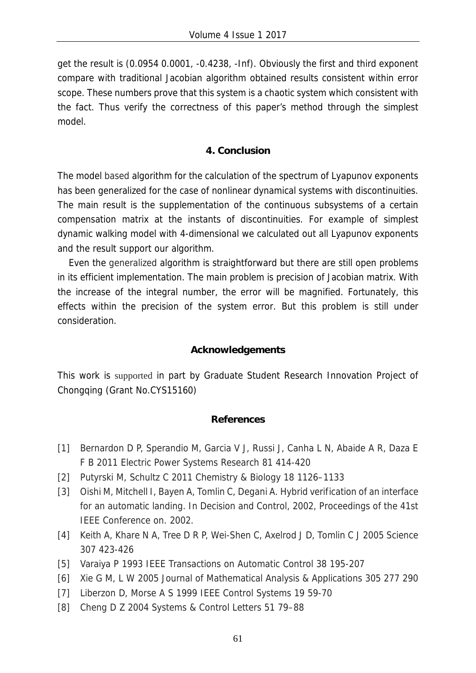get the result is (0.0954 0.0001, -0.4238, -Inf). Obviously the first and third exponent compare with traditional Jacobian algorithm obtained results consistent within error scope. These numbers prove that this system is a chaotic system which consistent with the fact. Thus verify the correctness of this paper's method through the simplest model.

## **4. Conclusion**

The model based algorithm for the calculation of the spectrum of Lyapunov exponents has been generalized for the case of nonlinear dynamical systems with discontinuities. The main result is the supplementation of the continuous subsystems of a certain compensation matrix at the instants of discontinuities. For example of simplest dynamic walking model with 4-dimensional we calculated out all Lyapunov exponents and the result support our algorithm.

Even the generalized algorithm is straightforward but there are still open problems in its efficient implementation. The main problem is precision of Jacobian matrix. With the increase of the integral number, the error will be magnified. Fortunately, this effects within the precision of the system error. But this problem is still under consideration.

## **Acknowledgements**

This work is supported in part by Graduate Student Research Innovation Project of Chongqing (Grant No.CYS15160)

## **References**

- [1] Bernardon D P, Sperandio M, Garcia V J, Russi J, Canha L N, Abaide A R, Daza E F B 2011 Electric Power Systems Research 81 414-420
- [2] Putyrski M, Schultz C 2011 Chemistry & Biology 18 1126–1133
- [3] Oishi M, Mitchell I, Bayen A, Tomlin C, Degani A. Hybrid verification of an interface for an automatic landing. In Decision and Control, 2002, Proceedings of the 41st IEEE Conference on. 2002.
- [4] Keith A, Khare N A, Tree D R P, Wei-Shen C, Axelrod J D, Tomlin C J 2005 Science 307 423-426
- [5] Varaiya P 1993 IEEE Transactions on Automatic Control 38 195-207
- [6] Xie G M, L W 2005 Journal of Mathematical Analysis & Applications 305 277 290
- [7] Liberzon D, Morse A S 1999 IEEE Control Systems 19 59-70
- [8] Cheng D Z 2004 Systems & Control Letters 51 79–88